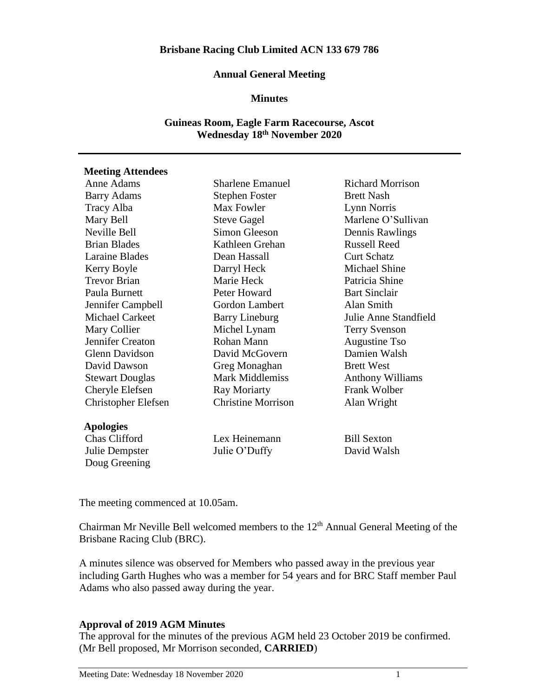#### **Annual General Meeting**

#### **Minutes**

## **Guineas Room, Eagle Farm Racecourse, Ascot Wednesday 18th November 2020**

### **Meeting Attendees**

| Anne Adams                 | <b>Sharlene Emanuel</b>   | <b>Richard Morrison</b> |
|----------------------------|---------------------------|-------------------------|
| <b>Barry Adams</b>         | <b>Stephen Foster</b>     | <b>Brett Nash</b>       |
| Tracy Alba                 | Max Fowler                | Lynn Norris             |
| Mary Bell                  | <b>Steve Gagel</b>        | Marlene O'Sullivan      |
| Neville Bell               | Simon Gleeson             | Dennis Rawlings         |
| <b>Brian Blades</b>        | Kathleen Grehan           | <b>Russell Reed</b>     |
| <b>Laraine Blades</b>      | Dean Hassall              | <b>Curt Schatz</b>      |
| Kerry Boyle                | Darryl Heck               | Michael Shine           |
| <b>Trevor Brian</b>        | Marie Heck                | Patricia Shine          |
| Paula Burnett              | Peter Howard              | <b>Bart Sinclair</b>    |
| Jennifer Campbell          | Gordon Lambert            | Alan Smith              |
| Michael Carkeet            | <b>Barry Lineburg</b>     | Julie Anne Standfield   |
| Mary Collier               | Michel Lynam              | <b>Terry Svenson</b>    |
| Jennifer Creaton           | Rohan Mann                | Augustine Tso           |
| <b>Glenn Davidson</b>      | David McGovern            | Damien Walsh            |
| David Dawson               | Greg Monaghan             | <b>Brett West</b>       |
| <b>Stewart Douglas</b>     | <b>Mark Middlemiss</b>    | <b>Anthony Williams</b> |
| Cheryle Elefsen            | Ray Moriarty              | Frank Wolber            |
| <b>Christopher Elefsen</b> | <b>Christine Morrison</b> | Alan Wright             |
| <b>Apologies</b>           |                           |                         |
| Chas Clifford              | Lex Heinemann             | <b>Bill Sexton</b>      |
| Julie Dempster             | Julie O'Duffy             | David Walsh             |
| Doug Greening              |                           |                         |

The meeting commenced at 10.05am.

Chairman Mr Neville Bell welcomed members to the  $12<sup>th</sup>$  Annual General Meeting of the Brisbane Racing Club (BRC).

A minutes silence was observed for Members who passed away in the previous year including Garth Hughes who was a member for 54 years and for BRC Staff member Paul Adams who also passed away during the year.

### **Approval of 2019 AGM Minutes**

The approval for the minutes of the previous AGM held 23 October 2019 be confirmed. (Mr Bell proposed, Mr Morrison seconded, **CARRIED**)